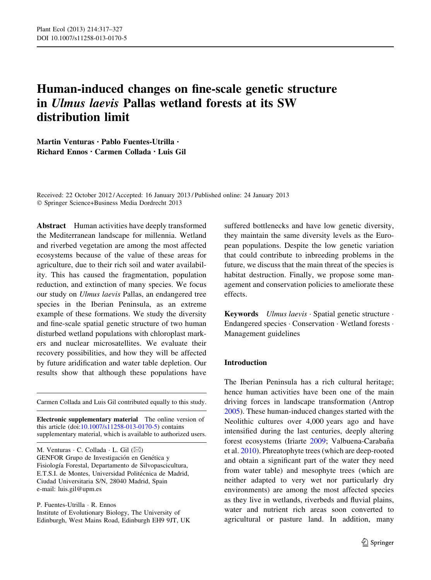# Human-induced changes on fine-scale genetic structure in Ulmus laevis Pallas wetland forests at its SW distribution limit

Martin Venturas • Pablo Fuentes-Utrilla • Richard Ennos • Carmen Collada • Luis Gil

Received: 22 October 2012 / Accepted: 16 January 2013 / Published online: 24 January 2013 - Springer Science+Business Media Dordrecht 2013

Abstract Human activities have deeply transformed the Mediterranean landscape for millennia. Wetland and riverbed vegetation are among the most affected ecosystems because of the value of these areas for agriculture, due to their rich soil and water availability. This has caused the fragmentation, population reduction, and extinction of many species. We focus our study on Ulmus laevis Pallas, an endangered tree species in the Iberian Peninsula, as an extreme example of these formations. We study the diversity and fine-scale spatial genetic structure of two human disturbed wetland populations with chloroplast markers and nuclear microsatellites. We evaluate their recovery possibilities, and how they will be affected by future aridification and water table depletion. Our results show that although these populations have

Carmen Collada and Luis Gil contributed equally to this study.

Electronic supplementary material The online version of this article (doi[:10.1007/s11258-013-0170-5\)](http://dx.doi.org/10.1007/s11258-013-0170-5) contains supplementary material, which is available to authorized users.

M. Venturas  $\cdot$  C. Collada  $\cdot$  L. Gil ( $\boxtimes$ ) GENFOR Grupo de Investigación en Genética y Fisiología Forestal, Departamento de Silvopascicultura, E.T.S.I. de Montes, Universidad Politécnica de Madrid, Ciudad Universitaria S/N, 28040 Madrid, Spain e-mail: luis.gil@upm.es

P. Fuentes-Utrilla - R. Ennos Institute of Evolutionary Biology, The University of Edinburgh, West Mains Road, Edinburgh EH9 9JT, UK suffered bottlenecks and have low genetic diversity, they maintain the same diversity levels as the European populations. Despite the low genetic variation that could contribute to inbreeding problems in the future, we discuss that the main threat of the species is habitat destruction. Finally, we propose some management and conservation policies to ameliorate these effects.

Keywords *Ulmus laevis* · Spatial genetic structure · Endangered species - Conservation - Wetland forests - Management guidelines

# Introduction

The Iberian Peninsula has a rich cultural heritage; hence human activities have been one of the main driving forces in landscape transformation (Antrop [2005\)](#page-9-0). These human-induced changes started with the Neolithic cultures over 4,000 years ago and have intensified during the last centuries, deeply altering forest ecosystems (Iriarte [2009;](#page-10-0) Valbuena-Carabaña et al. [2010\)](#page-10-0). Phreatophyte trees (which are deep-rooted and obtain a significant part of the water they need from water table) and mesophyte trees (which are neither adapted to very wet nor particularly dry environments) are among the most affected species as they live in wetlands, riverbeds and fluvial plains, water and nutrient rich areas soon converted to agricultural or pasture land. In addition, many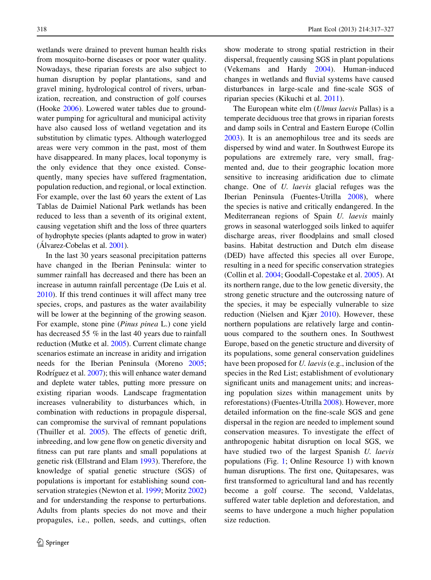wetlands were drained to prevent human health risks from mosquito-borne diseases or poor water quality. Nowadays, these riparian forests are also subject to human disruption by poplar plantations, sand and gravel mining, hydrological control of rivers, urbanization, recreation, and construction of golf courses (Hooke [2006](#page-10-0)). Lowered water tables due to groundwater pumping for agricultural and municipal activity have also caused loss of wetland vegetation and its substitution by climatic types. Although waterlogged areas were very common in the past, most of them have disappeared. In many places, local toponymy is the only evidence that they once existed. Consequently, many species have suffered fragmentation, population reduction, and regional, or local extinction. For example, over the last 60 years the extent of Las Tablas de Daimiel National Park wetlands has been reduced to less than a seventh of its original extent, causing vegetation shift and the loss of three quarters of hydrophyte species (plants adapted to grow in water)  $(A)$  lvarez-Cobelas et al. [2001\)](#page-9-0).

In the last 30 years seasonal precipitation patterns have changed in the Iberian Peninsula: winter to summer rainfall has decreased and there has been an increase in autumn rainfall percentage (De Luis et al. [2010\)](#page-9-0). If this trend continues it will affect many tree species, crops, and pastures as the water availability will be lower at the beginning of the growing season. For example, stone pine (Pinus pinea L.) cone yield has decreased 55 % in the last 40 years due to rainfall reduction (Mutke et al. [2005\)](#page-10-0). Current climate change scenarios estimate an increase in aridity and irrigation needs for the Iberian Peninsula (Moreno [2005](#page-10-0); Rodríguez et al. [2007\)](#page-10-0); this will enhance water demand and deplete water tables, putting more pressure on existing riparian woods. Landscape fragmentation increases vulnerability to disturbances which, in combination with reductions in propagule dispersal, can compromise the survival of remnant populations (Thuiller et al. [2005\)](#page-10-0). The effects of genetic drift, inbreeding, and low gene flow on genetic diversity and fitness can put rare plants and small populations at genetic risk (Ellstrand and Elam [1993](#page-9-0)). Therefore, the knowledge of spatial genetic structure (SGS) of populations is important for establishing sound conservation strategies (Newton et al. [1999](#page-10-0); Moritz [2002\)](#page-10-0) and for understanding the response to perturbations. Adults from plants species do not move and their propagules, i.e., pollen, seeds, and cuttings, often

show moderate to strong spatial restriction in their dispersal, frequently causing SGS in plant populations (Vekemans and Hardy [2004\)](#page-10-0). Human-induced changes in wetlands and fluvial systems have caused disturbances in large-scale and fine-scale SGS of riparian species (Kikuchi et al. [2011](#page-10-0)).

The European white elm (Ulmus laevis Pallas) is a temperate deciduous tree that grows in riparian forests and damp soils in Central and Eastern Europe (Collin [2003\)](#page-9-0). It is an anemophilous tree and its seeds are dispersed by wind and water. In Southwest Europe its populations are extremely rare, very small, fragmented and, due to their geographic location more sensitive to increasing aridification due to climate change. One of U. laevis glacial refuges was the Iberian Peninsula (Fuentes-Utrilla [2008\)](#page-9-0), where the species is native and critically endangered. In the Mediterranean regions of Spain U. laevis mainly grows in seasonal waterlogged soils linked to aquifer discharge areas, river floodplains and small closed basins. Habitat destruction and Dutch elm disease (DED) have affected this species all over Europe, resulting in a need for specific conservation strategies (Collin et al. [2004;](#page-9-0) Goodall-Copestake et al. [2005](#page-9-0)). At its northern range, due to the low genetic diversity, the strong genetic structure and the outcrossing nature of the species, it may be especially vulnerable to size reduction (Nielsen and Kjær [2010\)](#page-10-0). However, these northern populations are relatively large and continuous compared to the southern ones. In Southwest Europe, based on the genetic structure and diversity of its populations, some general conservation guidelines have been proposed for U. *laevis* (e.g., inclusion of the species in the Red List; establishment of evolutionary significant units and management units; and increasing population sizes within management units by reforestations) (Fuentes-Utrilla [2008\)](#page-9-0). However, more detailed information on the fine-scale SGS and gene dispersal in the region are needed to implement sound conservation measures. To investigate the effect of anthropogenic habitat disruption on local SGS, we have studied two of the largest Spanish U. laevis populations (Fig. [1](#page-2-0); Online Resource 1) with known human disruptions. The first one, Quitapesares, was first transformed to agricultural land and has recently become a golf course. The second, Valdelatas, suffered water table depletion and deforestation, and seems to have undergone a much higher population size reduction.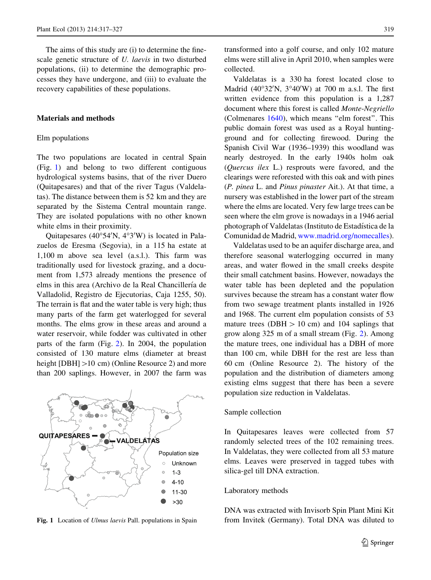<span id="page-2-0"></span>The aims of this study are (i) to determine the finescale genetic structure of U. laevis in two disturbed populations, (ii) to determine the demographic processes they have undergone, and (iii) to evaluate the recovery capabilities of these populations.

## Materials and methods

### Elm populations

The two populations are located in central Spain (Fig. 1) and belong to two different contiguous hydrological systems basins, that of the river Duero (Quitapesares) and that of the river Tagus (Valdelatas). The distance between them is 52 km and they are separated by the Sistema Central mountain range. They are isolated populations with no other known white elms in their proximity.

Quitapesares  $(40^{\circ}54'N, 4^{\circ}3'W)$  is located in Palazuelos de Eresma (Segovia), in a 115 ha estate at 1,100 m above sea level (a.s.l.). This farm was traditionally used for livestock grazing, and a document from 1,573 already mentions the presence of elms in this area (Archivo de la Real Chancillería de Valladolid, Registro de Ejecutorias, Caja 1255, 50). The terrain is flat and the water table is very high; thus many parts of the farm get waterlogged for several months. The elms grow in these areas and around a water reservoir, while fodder was cultivated in other parts of the farm (Fig. [2\)](#page-3-0). In 2004, the population consisted of 130 mature elms (diameter at breast height  $[DBH] > 10$  cm) (Online Resource 2) and more than 200 saplings. However, in 2007 the farm was



transformed into a golf course, and only 102 mature elms were still alive in April 2010, when samples were collected.

Valdelatas is a 330 ha forest located close to Madrid (40 $\degree$ 32'N, 3 $\degree$ 40'W) at 700 m a.s.l. The first written evidence from this population is a 1,287 document where this forest is called Monte-Negriello (Colmenares [1640](#page-9-0)), which means ''elm forest''. This public domain forest was used as a Royal huntingground and for collecting firewood. During the Spanish Civil War (1936–1939) this woodland was nearly destroyed. In the early 1940s holm oak (Quercus ilex L.) resprouts were favored, and the clearings were reforested with this oak and with pines (P. pinea L. and Pinus pinaster Ait.). At that time, a nursery was established in the lower part of the stream where the elms are located. Very few large trees can be seen where the elm grove is nowadays in a 1946 aerial photograph of Valdelatas (Instituto de Estadı´stica de la Comunidad de Madrid, [www.madrid.org/nomecalles](http://www.madrid.org/nomecalles)).

Valdelatas used to be an aquifer discharge area, and therefore seasonal waterlogging occurred in many areas, and water flowed in the small creeks despite their small catchment basins. However, nowadays the water table has been depleted and the population survives because the stream has a constant water flow from two sewage treatment plants installed in 1926 and 1968. The current elm population consists of 53 mature trees (DBH  $> 10$  cm) and 104 saplings that grow along 325 m of a small stream (Fig. [2\)](#page-3-0). Among the mature trees, one individual has a DBH of more than 100 cm, while DBH for the rest are less than 60 cm (Online Resource 2). The history of the population and the distribution of diameters among existing elms suggest that there has been a severe population size reduction in Valdelatas.

# Sample collection

In Quitapesares leaves were collected from 57 randomly selected trees of the 102 remaining trees. In Valdelatas, they were collected from all 53 mature elms. Leaves were preserved in tagged tubes with silica-gel till DNA extraction.

#### Laboratory methods

DNA was extracted with Invisorb Spin Plant Mini Kit Fig. 1 Location of *Ulmus laevis* Pall. populations in Spain from Invitek (Germany). Total DNA was diluted to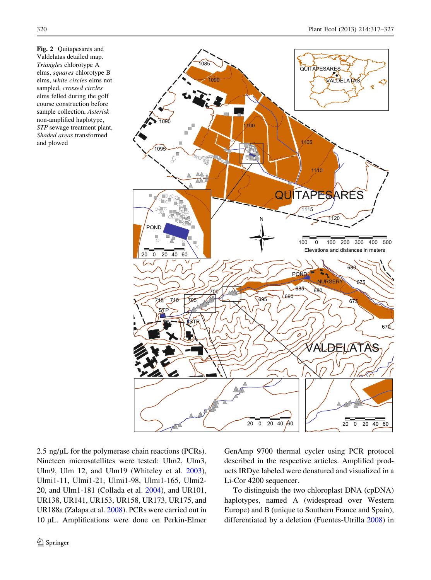<span id="page-3-0"></span>Fig. 2 Quitapesares and Valdelatas detailed map. Triangles chlorotype A elms, squares chlorotype B elms, white circles elms not sampled, crossed circles elms felled during the golf course construction before sample collection, Asterisk non-amplified haplotype, STP sewage treatment plant, Shaded areas transformed and plowed



 $2.5$  ng/ $\mu$ L for the polymerase chain reactions (PCRs). Nineteen microsatellites were tested: Ulm2, Ulm3, Ulm9, Ulm 12, and Ulm19 (Whiteley et al. [2003](#page-10-0)), Ulmi1-11, Ulmi1-21, Ulmi1-98, Ulmi1-165, Ulmi2- 20, and Ulm1-181 (Collada et al. [2004\)](#page-9-0), and UR101, UR138, UR141, UR153, UR158, UR173, UR175, and UR188a (Zalapa et al. [2008\)](#page-10-0). PCRs were carried out in 10 lL. Amplifications were done on Perkin-Elmer GenAmp 9700 thermal cycler using PCR protocol described in the respective articles. Amplified products IRDye labeled were denatured and visualized in a Li-Cor 4200 sequencer.

To distinguish the two chloroplast DNA (cpDNA) haplotypes, named A (widespread over Western Europe) and B (unique to Southern France and Spain), differentiated by a deletion (Fuentes-Utrilla [2008\)](#page-9-0) in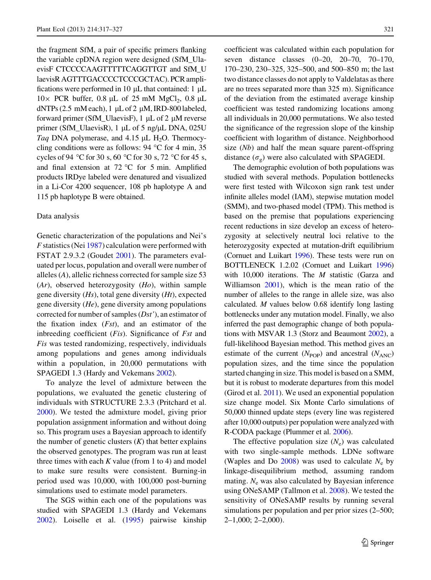the fragment SfM, a pair of specific primers flanking the variable cpDNA region were designed (SfM\_UlaevisF CTCCCCAAGTTTTTCAGGTTGT and SfM\_U laevisR AGTTTGACCCCTCCCGCTAC). PCR amplifications were performed in 10  $\mu$ L that contained: 1  $\mu$ L  $10\times$  PCR buffer, 0.8 µL of 25 mM MgCl<sub>2</sub>, 0.8 µL dNTPs (2.5 mM each),  $1 \mu$ L of 2  $\mu$ M, IRD-800 labeled, forward primer (SfM\_UlaevisF),  $1 \mu L$  of  $2 \mu M$  reverse primer (SfM\_UlaevisR),  $1 \mu L$  of 5 ng/ $\mu L$  DNA, 025U Taq DNA polymerase, and 4.15  $\mu$ L H<sub>2</sub>O. Thermocycling conditions were as follows:  $94 °C$  for 4 min, 35 cycles of 94 °C for 30 s, 60 °C for 30 s, 72 °C for 45 s, and final extension at  $72 \degree C$  for 5 min. Amplified products IRDye labeled were denatured and visualized in a Li-Cor 4200 sequencer, 108 pb haplotype A and 115 pb haplotype B were obtained.

## Data analysis

Genetic characterization of the populations and Nei's F statistics (Nei [1987\)](#page-10-0) calculation were performed with FSTAT 2.9.3.2 (Goudet [2001](#page-9-0)). The parameters evaluated per locus, population and overall were number of alleles (A), allelic richness corrected for sample size 53  $(Ar)$ , observed heterozygosity  $(Ho)$ , within sample gene diversity  $(Hs)$ , total gene diversity  $(Ht)$ , expected gene diversity  $(He)$ , gene diversity among populations corrected for number of samples (Dst'), an estimator of the fixation index  $(Fst)$ , and an estimator of the inbreeding coefficient (Fis). Significance of Fst and Fis was tested randomizing, respectively, individuals among populations and genes among individuals within a population, in 20,000 permutations with SPAGEDI 1.3 (Hardy and Vekemans [2002\)](#page-10-0).

To analyze the level of admixture between the populations, we evaluated the genetic clustering of individuals with STRUCTURE 2.3.3 (Pritchard et al. [2000\)](#page-10-0). We tested the admixture model, giving prior population assignment information and without doing so. This program uses a Bayesian approach to identify the number of genetic clusters  $(K)$  that better explains the observed genotypes. The program was run at least three times with each  $K$  value (from 1 to 4) and model to make sure results were consistent. Burning-in period used was 10,000, with 100,000 post-burning simulations used to estimate model parameters.

The SGS within each one of the populations was studied with SPAGEDI 1.3 (Hardy and Vekemans [2002\)](#page-10-0). Loiselle et al. ([1995\)](#page-10-0) pairwise kinship coefficient was calculated within each population for seven distance classes (0–20, 20–70, 70–170, 170–230, 230–325, 325–500, and 500–850 m; the last two distance classes do not apply to Valdelatas as there are no trees separated more than 325 m). Significance of the deviation from the estimated average kinship coefficient was tested randomizing locations among all individuals in 20,000 permutations. We also tested the significance of the regression slope of the kinship coefficient with logarithm of distance. Neighborhood size (Nb) and half the mean square parent-offspring distance  $(\sigma_{\varphi})$  were also calculated with SPAGEDI.

The demographic evolution of both populations was studied with several methods. Population bottlenecks were first tested with Wilcoxon sign rank test under infinite alleles model (IAM), stepwise mutation model (SMM), and two-phased model (TPM). This method is based on the premise that populations experiencing recent reductions in size develop an excess of heterozygosity at selectively neutral loci relative to the heterozygosity expected at mutation-drift equilibrium (Cornuet and Luikart [1996](#page-9-0)). These tests were run on BOTTLENECK 1.2.02 (Cornuet and Luikart [1996\)](#page-9-0) with 10,000 iterations. The *M* statistic (Garza and Williamson [2001\)](#page-9-0), which is the mean ratio of the number of alleles to the range in allele size, was also calculated. M values below 0.68 identify long lasting bottlenecks under any mutation model. Finally, we also inferred the past demographic change of both populations with MSVAR 1.3 (Storz and Beaumont [2002](#page-10-0)), a full-likelihood Bayesian method. This method gives an estimate of the current  $(N_{\text{POP}})$  and ancestral  $(N_{\text{ANC}})$ population sizes, and the time since the population started changing in size. This model is based on a SMM, but it is robust to moderate departures from this model (Girod et al. [2011](#page-9-0)). We used an exponential population size change model. Six Monte Carlo simulations of 50,000 thinned update steps (every line was registered after 10,000 outputs) per population were analyzed with R-CODA package (Plummer et al. [2006](#page-10-0)).

The effective population size  $(N_e)$  was calculated with two single-sample methods. LDNe software (Waples and Do  $2008$ ) was used to calculate  $N_e$  by linkage-disequilibrium method, assuming random mating.  $N_e$  was also calculated by Bayesian inference using ONeSAMP (Tallmon et al. [2008](#page-10-0)). We tested the sensitivity of ONeSAMP results by running several simulations per population and per prior sizes (2–500;  $2-1,000$ ;  $2-2,000$ ).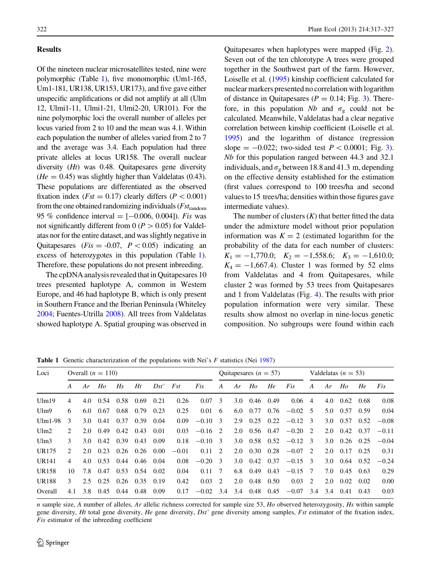# Results

Of the nineteen nuclear microsatellites tested, nine were polymorphic (Table 1), five monomorphic (Um1-165, Um1-181, UR138, UR153, UR173), and five gave either unspecific amplifications or did not amplify at all (Ulm 12, Ulmi1-11, Ulmi1-21, Ulmi2-20, UR101). For the nine polymorphic loci the overall number of alleles per locus varied from 2 to 10 and the mean was 4.1. Within each population the number of alleles varied from 2 to 7 and the average was 3.4. Each population had three private alleles at locus UR158. The overall nuclear diversity (Ht) was 0.48. Quitapesares gene diversity  $(He = 0.45)$  was slightly higher than Valdelatas (0.43). These populations are differentiated as the observed fixation index (*Fst* = 0.17) clearly differs (*P* < 0.001) from the one obtained randomizing individuals ( $Fst_{\text{random}}$ ) 95 % confidence interval =  $[-0.006, 0.004]$ ). *Fis* was not significantly different from  $0 (P > 0.05)$  for Valdelatas nor for the entire dataset, and was slightly negative in Quitapesares (*Fis* = -0.07,  $P < 0.05$ ) indicating an excess of heterozygotes in this population (Table 1). Therefore, these populations do not present inbreeding.

The cpDNA analysis revealed that in Quitapesares 10 trees presented haplotype A, common in Western Europe, and 46 had haplotype B, which is only present in Southern France and the Iberian Peninsula (Whiteley [2004](#page-10-0); Fuentes-Utrilla [2008\)](#page-9-0). All trees from Valdelatas showed haplotype A. Spatial grouping was observed in Quitapesares when haplotypes were mapped (Fig. [2\)](#page-3-0). Seven out of the ten chlorotype A trees were grouped together in the Southwest part of the farm. However, Loiselle et al. ([1995](#page-10-0)) kinship coefficient calculated for nuclear markers presented no correlation with logarithm of distance in Quitapesares ( $P = 0.14$ ; Fig. [3](#page-6-0)). Therefore, in this population  $Nb$  and  $\sigma_{\rm g}$  could not be calculated. Meanwhile, Valdelatas had a clear negative correlation between kinship coefficient (Loiselle et al. [1995](#page-10-0)) and the logarithm of distance (regression slope =  $-0.022$ ; two-sided test  $P < 0.0001$ ; Fig. [3\)](#page-6-0). Nb for this population ranged between 44.3 and 32.1 individuals, and  $\sigma_{\rm g}$  between 18.8 and 41.3 m, depending on the effective density established for the estimation (first values correspond to 100 trees/ha and second values to 15 trees/ha; densities within those figures gave intermediate values).

The number of clusters  $(K)$  that better fitted the data under the admixture model without prior population information was  $K = 2$  (estimated logarithm for the probability of the data for each number of clusters:  $K_1 = -1,770.0;$   $K_2 = -1,558.6;$   $K_3 = -1,610.0;$  $K_4 = -1,667.4$ . Cluster 1 was formed by 52 elms from Valdelatas and 4 from Quitapesares, while cluster 2 was formed by 53 trees from Quitapesares and 1 from Valdelatas (Fig. [4\)](#page-6-0). The results with prior population information were very similar. These results show almost no overlap in nine-locus genetic composition. No subgroups were found within each

**Table 1** Genetic characterization of the populations with Nei's  $F$  statistics (Nei [1987](#page-10-0))

| Loci         | Overall $(n = 110)$         |               |                |      |                      |      |            |         | Quitapesares ( $n = 57$ ) |     |                |           | Valdelatas ( $n = 53$ ) |                |     |                             |      |         |
|--------------|-----------------------------|---------------|----------------|------|----------------------|------|------------|---------|---------------------------|-----|----------------|-----------|-------------------------|----------------|-----|-----------------------------|------|---------|
|              | A                           | Ar            | H <sub>o</sub> | Hs   | Ht                   | Dst' | <b>Fst</b> | Fis     | A                         | Ar  | H <sub>o</sub> | He        | Fis                     | A              | Ar  | H <sub>o</sub>              | He   | Fis     |
| Ulm19        | $\overline{4}$              | 4.0           | 0.54           | 0.58 | 0.69                 | 0.21 | 0.26       | 0.07    | 3                         | 3.0 | 0.46           | 0.49      | 0.06                    | $\overline{4}$ | 4.0 | 0.62                        | 0.68 | 0.08    |
| Ulm9         | 6                           | 6.0           | 0.67           | 0.68 | 0.79                 | 0.23 | 0.25       | 0.01    | -6                        | 6.0 | 0.77           | 0.76      | $-0.02$                 | -5             | 5.0 | 0.57                        | 0.59 | 0.04    |
| $Ulm1-98$    | 3                           | 3.0           | 0.41           | 0.37 | 0.39                 | 0.04 | 0.09       | $-0.10$ | $\mathcal{E}$             | 2.9 | 0.25           | 0.22      | $-0.12$                 | $\mathcal{E}$  | 3.0 | 0.57                        | 0.52 | $-0.08$ |
| $U$ lm2      | $\mathfrak{D}$              | 2.0           | 0.49           |      | $0.42 \quad 0.43$    | 0.01 | 0.03       | $-0.16$ | $\overline{2}$            | 2.0 | 0.56 0.47      |           | $-0.20$                 | $\mathcal{D}$  | 2.0 | 0.42                        | 0.37 | $-0.11$ |
| Ulm3         | 3                           |               | 3.0 0.42       | 0.39 | 0.43                 | 0.09 | 0.18       | $-0.10$ | $\mathcal{E}$             | 3.0 |                | 0.58 0.52 | $-0.12 \quad 3$         |                |     | $3.0 \quad 0.26 \quad 0.25$ |      | $-0.04$ |
| UR175        | $\mathcal{D}_{\mathcal{L}}$ | 2.0           | 0.23           |      | $0.26$ $0.26$ $0.00$ |      | $-0.01$    | 0.11    | $\overline{2}$            | 2.0 | 0.30           | 0.28      | $-0.07$                 | $\mathcal{L}$  | 2.0 | 0.17                        | 0.25 | 0.31    |
| <b>UR141</b> | 4                           | 4.0           | 0.53           |      | 0.44 0.46            | 0.04 | 0.08       | $-0.20$ | - 3                       | 3.0 | 0.42           | 0.37      | $-0.15$                 | $\overline{3}$ | 3.0 | 0.64                        | 0.52 | $-0.24$ |
| <b>UR158</b> | 10                          | 7.8           | 0.47           |      | $0.53 \quad 0.54$    | 0.02 | 0.04       | 0.11    | -7                        | 6.8 | 0.49           | 0.43      | $-0.15$                 | -7             | 7.0 | 0.45                        | 0.63 | 0.29    |
| <b>UR188</b> | 3                           | $2.5^{\circ}$ | 0.25           | 0.26 | 0.35                 | 0.19 | 0.42       | 0.03    | 2                         | 2.0 | 0.48           | 0.50      | 0.03                    | 2              | 2.0 | 0.02                        | 0.02 | 0.00    |
| Overall      | 4.1                         | 3.8           | 0.45           | 0.44 | 0.48                 | 0.09 | 0.17       | $-0.02$ | 3.4                       | 3.4 | 0.48           | 0.45      | $-0.07$                 | 3.4            | 3.4 | 0.41                        | 0.43 | 0.03    |

n sample size, A number of alleles, Ar allelic richness corrected for sample size 53,  $Ho$  observed heterozygosity,  $Hs$  within sample gene diversity, Ht total gene diversity, He gene diversity, Dst' gene diversity among samples, Fst estimator of the fixation index, Fis estimator of the inbreeding coefficient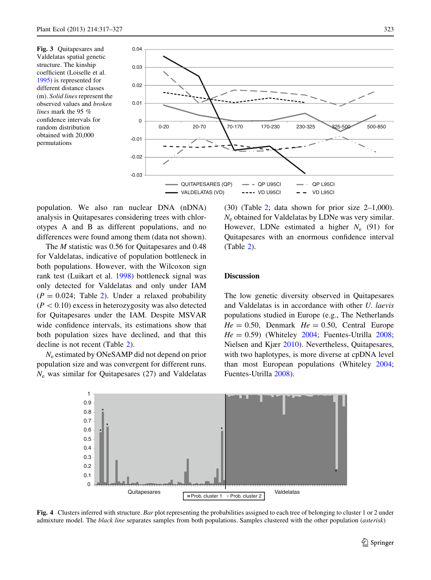<span id="page-6-0"></span>



population. We also ran nuclear DNA (nDNA) analysis in Quitapesares considering trees with chlorotypes A and B as different populations, and no differences were found among them (data not shown).

The M statistic was 0.56 for Quitapesares and 0.48 for Valdelatas, indicative of population bottleneck in both populations. However, with the Wilcoxon sign rank test (Luikart et al. [1998\)](#page-10-0) bottleneck signal was only detected for Valdelatas and only under IAM  $(P = 0.024;$  $(P = 0.024;$  $(P = 0.024;$  Table 2). Under a relaxed probability  $(P < 0.10)$  excess in heterozygosity was also detected for Quitapesares under the IAM. Despite MSVAR wide confidence intervals, its estimations show that both population sizes have declined, and that this decline is not recent (Table [2](#page-7-0)).

N<sup>e</sup> estimated by ONeSAMP did not depend on prior population size and was convergent for different runs.  $N_e$  was similar for Quitapesares (27) and Valdelatas  $(30)$  (Table [2;](#page-7-0) data shown for prior size 2–1,000). N<sup>e</sup> obtained for Valdelatas by LDNe was very similar. However, LDNe estimated a higher  $N_e$  (91) for Quitapesares with an enormous confidence interval (Table [2](#page-7-0)).

# **Discussion**

The low genetic diversity observed in Quitapesares and Valdelatas is in accordance with other U. laevis populations studied in Europe (e.g., The Netherlands  $He = 0.50$ , Denmark  $He = 0.50$ , Central Europe  $He = 0.59$ ) (Whiteley [2004;](#page-10-0) Fuentes-Utrilla [2008](#page-9-0); Nielsen and Kjær [2010\)](#page-10-0). Nevertheless, Quitapesares, with two haplotypes, is more diverse at cpDNA level than most European populations (Whiteley [2004](#page-10-0); Fuentes-Utrilla [2008](#page-9-0)).



Fig. 4 Clusters inferred with structure. Bar plot representing the probabilities assigned to each tree of belonging to cluster 1 or 2 under admixture model. The *black line* separates samples from both populations. Samples clustered with the other population (*asterisk*)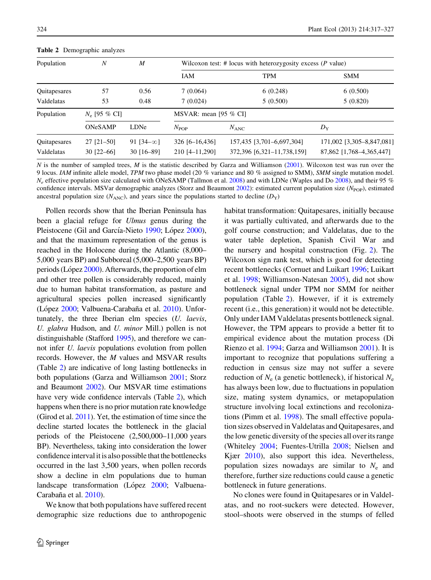| Population        | N                                | $\overline{M}$ | Wilcoxon test: # locus with heterozygosity excess $(P$ value) |                            |                           |  |  |  |  |
|-------------------|----------------------------------|----------------|---------------------------------------------------------------|----------------------------|---------------------------|--|--|--|--|
|                   |                                  |                | <b>IAM</b>                                                    | <b>TPM</b>                 | <b>SMM</b>                |  |  |  |  |
| Quitapesares      | 57<br>0.56                       |                | 7(0.064)                                                      | 6(0.248)                   | 6(0.500)                  |  |  |  |  |
| <b>Valdelatas</b> | 53                               | 0.48           | 7(0.024)                                                      | 5(0.500)                   | 5(0.820)                  |  |  |  |  |
| Population        | $N_e$ [95 % CI]                  |                | MSVAR: mean $[95 \% CI]$                                      |                            |                           |  |  |  |  |
|                   | ONeSAMP                          | <b>LDNe</b>    | $N_{\rm POP}$                                                 | $N_{\rm ANC}$              | $D_{\rm Y}$               |  |  |  |  |
| Quitapesares      | 91 $[34-\infty]$<br>$27$ [21-50] |                | 326 [6-16,436]                                                | 157,435 [3,701-6,697,304]  | 171,002 [3,305-8,847,081] |  |  |  |  |
| Valdelatas        | $30$ [22-66]                     | 30 [16-89]     | 210 [4-11,290]                                                | 372,396 [6,321-11,738,159] | 87,862 [1,768-4,365,447]  |  |  |  |  |

<span id="page-7-0"></span>Table 2 Demographic analyzes

 $N$  is the number of sampled trees,  $M$  is the statistic described by Garza and Williamson [\(2001](#page-9-0)). Wilcoxon test was run over the 9 locus. IAM infinite allele model, TPM two phase model (20 % variance and 80 % assigned to SMM), SMM single mutation model.  $N_e$  effective population size calculated with ONeSAMP (Tallmon et al. [2008](#page-10-0)) and with LDNe (Waples and Do [2008\)](#page-10-0), and their 95 % confidence intervals. MSVar demographic analyzes (Storz and Beaumont [2002](#page-10-0)): estimated current population size  $(N_{\text{POP}})$ , estimated ancestral population size ( $N_{\text{ANC}}$ ), and years since the populations started to decline ( $D_Y$ )

Pollen records show that the Iberian Peninsula has been a glacial refuge for Ulmus genus during the Pleistocene (Gil and García-Nieto [1990;](#page-9-0) López [2000](#page-10-0)), and that the maximum representation of the genus is reached in the Holocene during the Atlantic (8,000– 5,000 years BP) and Subboreal (5,000–2,500 years BP) periods (López [2000](#page-10-0)). Afterwards, the proportion of elm and other tree pollen is considerably reduced, mainly due to human habitat transformation, as pasture and agricultural species pollen increased significantly (López [2000](#page-10-0); Valbuena-Carabaña et al. [2010\)](#page-10-0). Unfortunately, the three Iberian elm species (U. laevis, U. glabra Hudson, and U. minor Mill.) pollen is not distinguishable (Stafford [1995\)](#page-10-0), and therefore we cannot infer U. laevis populations evolution from pollen records. However, the M values and MSVAR results (Table 2) are indicative of long lasting bottlenecks in both populations (Garza and Williamson [2001;](#page-9-0) Storz and Beaumont [2002\)](#page-10-0). Our MSVAR time estimations have very wide confidence intervals (Table 2), which happens when there is no prior mutation rate knowledge (Girod et al. [2011](#page-9-0)). Yet, the estimation of time since the decline started locates the bottleneck in the glacial periods of the Pleistocene (2,500,000–11,000 years BP). Nevertheless, taking into consideration the lower confidence interval it is also possible that the bottlenecks occurred in the last 3,500 years, when pollen records show a decline in elm populations due to human landscape transformation (López [2000;](#page-10-0) Valbuena-Carabaña et al. [2010](#page-10-0)).

We know that both populations have suffered recent demographic size reductions due to anthropogenic habitat transformation: Quitapesares, initially because it was partially cultivated, and afterwards due to the golf course construction; and Valdelatas, due to the water table depletion, Spanish Civil War and the nursery and hospital construction (Fig. [2](#page-3-0)). The Wilcoxon sign rank test, which is good for detecting recent bottlenecks (Cornuet and Luikart [1996;](#page-9-0) Luikart et al. [1998;](#page-10-0) Williamson-Natesan [2005\)](#page-10-0), did not show bottleneck signal under TPM nor SMM for neither population (Table 2). However, if it is extremely recent (i.e., this generation) it would not be detectible. Only under IAM Valdelatas presents bottleneck signal. However, the TPM appears to provide a better fit to empirical evidence about the mutation process (Di Rienzo et al. [1994](#page-9-0); Garza and Williamson [2001\)](#page-9-0). It is important to recognize that populations suffering a reduction in census size may not suffer a severe reduction of  $N_e$  (a genetic bottleneck), if historical  $N_e$ has always been low, due to fluctuations in population size, mating system dynamics, or metapopulation structure involving local extinctions and recolonizations (Pimm et al. [1998](#page-10-0)). The small effective population sizes observed in Valdelatas and Quitapesares, and the low genetic diversity of the species all over its range (Whiteley [2004;](#page-10-0) Fuentes-Utrilla [2008;](#page-9-0) Nielsen and Kjær [2010\)](#page-10-0), also support this idea. Nevertheless, population sizes nowadays are similar to  $N_e$  and therefore, further size reductions could cause a genetic bottleneck in future generations.

No clones were found in Quitapesares or in Valdelatas, and no root-suckers were detected. However, stool–shoots were observed in the stumps of felled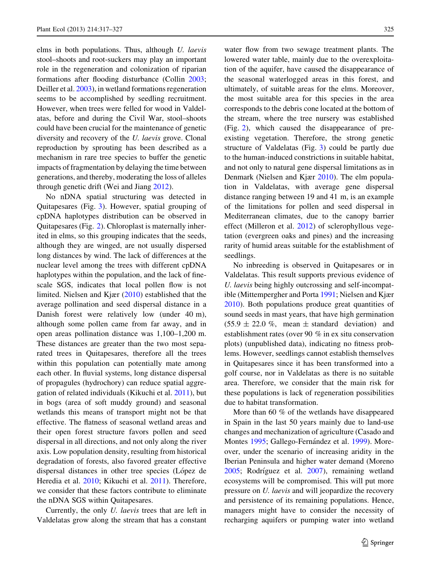elms in both populations. Thus, although U. laevis stool–shoots and root-suckers may play an important role in the regeneration and colonization of riparian formations after flooding disturbance (Collin [2003](#page-9-0); Deiller et al. [2003\)](#page-9-0), in wetland formations regeneration seems to be accomplished by seedling recruitment. However, when trees were felled for wood in Valdelatas, before and during the Civil War, stool–shoots could have been crucial for the maintenance of genetic diversity and recovery of the U. laevis grove. Clonal reproduction by sprouting has been described as a mechanism in rare tree species to buffer the genetic impacts of fragmentation by delaying the time between generations, and thereby, moderating the loss of alleles through genetic drift (Wei and Jiang [2012\)](#page-10-0).

No nDNA spatial structuring was detected in Quitapesares (Fig. [3\)](#page-6-0). However, spatial grouping of cpDNA haplotypes distribution can be observed in Quitapesares (Fig. [2\)](#page-3-0). Chloroplast is maternally inherited in elms, so this grouping indicates that the seeds, although they are winged, are not usually dispersed long distances by wind. The lack of differences at the nuclear level among the trees with different cpDNA haplotypes within the population, and the lack of finescale SGS, indicates that local pollen flow is not limited. Nielsen and Kjær [\(2010](#page-10-0)) established that the average pollination and seed dispersal distance in a Danish forest were relatively low (under 40 m), although some pollen came from far away, and in open areas pollination distance was 1,100–1,200 m. These distances are greater than the two most separated trees in Quitapesares, therefore all the trees within this population can potentially mate among each other. In fluvial systems, long distance dispersal of propagules (hydrochory) can reduce spatial aggregation of related individuals (Kikuchi et al. [2011](#page-10-0)), but in bogs (area of soft muddy ground) and seasonal wetlands this means of transport might not be that effective. The flatness of seasonal wetland areas and their open forest structure favors pollen and seed dispersal in all directions, and not only along the river axis. Low population density, resulting from historical degradation of forests, also favored greater effective dispersal distances in other tree species (López de Heredia et al. [2010;](#page-10-0) Kikuchi et al. [2011](#page-10-0)). Therefore, we consider that these factors contribute to eliminate the nDNA SGS within Quitapesares.

Currently, the only U. laevis trees that are left in Valdelatas grow along the stream that has a constant

water flow from two sewage treatment plants. The lowered water table, mainly due to the overexploitation of the aquifer, have caused the disappearance of the seasonal waterlogged areas in this forest, and ultimately, of suitable areas for the elms. Moreover, the most suitable area for this species in the area corresponds to the debris cone located at the bottom of the stream, where the tree nursery was established (Fig. [2](#page-3-0)), which caused the disappearance of preexisting vegetation. Therefore, the strong genetic structure of Valdelatas (Fig. [3\)](#page-6-0) could be partly due to the human-induced constrictions in suitable habitat, and not only to natural gene dispersal limitations as in Denmark (Nielsen and Kjær [2010](#page-10-0)). The elm population in Valdelatas, with average gene dispersal distance ranging between 19 and 41 m, is an example of the limitations for pollen and seed dispersal in Mediterranean climates, due to the canopy barrier effect (Milleron et al. [2012](#page-10-0)) of sclerophyllous vegetation (evergreen oaks and pines) and the increasing rarity of humid areas suitable for the establishment of seedlings.

No inbreeding is observed in Quitapesares or in Valdelatas. This result supports previous evidence of U. laevis being highly outcrossing and self-incompatible (Mittempergher and Porta [1991;](#page-10-0) Nielsen and Kjær [2010\)](#page-10-0). Both populations produce great quantities of sound seeds in mast years, that have high germination  $(55.9 \pm 22.0 \%$ , mean  $\pm$  standard deviation) and establishment rates (over 90 % in ex situ conservation plots) (unpublished data), indicating no fitness problems. However, seedlings cannot establish themselves in Quitapesares since it has been transformed into a golf course, nor in Valdelatas as there is no suitable area. Therefore, we consider that the main risk for these populations is lack of regeneration possibilities due to habitat transformation.

More than 60 % of the wetlands have disappeared in Spain in the last 50 years mainly due to land-use changes and mechanization of agriculture (Casado and Montes [1995;](#page-9-0) Gallego-Fernández et al. [1999\)](#page-9-0). Moreover, under the scenario of increasing aridity in the Iberian Peninsula and higher water demand (Moreno [2005;](#page-10-0) Rodríguez et al. [2007](#page-10-0)), remaining wetland ecosystems will be compromised. This will put more pressure on U. laevis and will jeopardize the recovery and persistence of its remaining populations. Hence, managers might have to consider the necessity of recharging aquifers or pumping water into wetland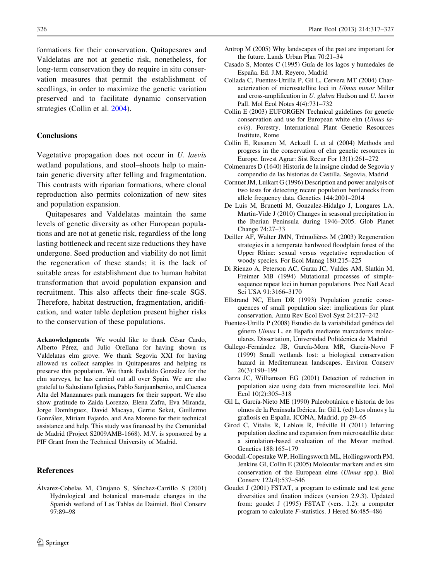<span id="page-9-0"></span>formations for their conservation. Quitapesares and Valdelatas are not at genetic risk, nonetheless, for long-term conservation they do require in situ conservation measures that permit the establishment of seedlings, in order to maximize the genetic variation preserved and to facilitate dynamic conservation strategies (Collin et al. 2004).

## **Conclusions**

Vegetative propagation does not occur in U. laevis wetland populations, and stool–shoots help to maintain genetic diversity after felling and fragmentation. This contrasts with riparian formations, where clonal reproduction also permits colonization of new sites and population expansion.

Quitapesares and Valdelatas maintain the same levels of genetic diversity as other European populations and are not at genetic risk, regardless of the long lasting bottleneck and recent size reductions they have undergone. Seed production and viability do not limit the regeneration of these stands; it is the lack of suitable areas for establishment due to human habitat transformation that avoid population expansion and recruitment. This also affects their fine-scale SGS. Therefore, habitat destruction, fragmentation, aridification, and water table depletion present higher risks to the conservation of these populations.

Acknowledgments We would like to thank César Cardo, Alberto Pérez, and Julio Orellana for having shown us Valdelatas elm grove. We thank Segovia XXI for having allowed us collect samples in Quitapesares and helping us preserve this population. We thank Eudaldo González for the elm surveys, he has carried out all over Spain. We are also grateful to Salustiano Iglesias, Pablo Sanjuanbenito, and Cuenca Alta del Manzanares park managers for their support. We also show gratitude to Zaida Lorenzo, Elena Zafra, Eva Miranda, Jorge Domínguez, David Macaya, Gerrie Seket, Guillermo González, Miriam Fajardo, and Ana Moreno for their technical assistance and help. This study was financed by the Comunidad de Madrid (Project S2009AMB-1668). M.V. is sponsored by a PIF Grant from the Technical University of Madrid.

# References

Álvarez-Cobelas M, Cirujano S, Sánchez-Carrillo S (2001) Hydrological and botanical man-made changes in the Spanish wetland of Las Tablas de Daimiel. Biol Conserv 97:89–98

- Antrop M (2005) Why landscapes of the past are important for the future. Lands Urban Plan 70:21–34
- Casado S, Montes C (1995) Guı´a de los lagos y humedales de España. Ed. J.M. Reyero, Madrid
- Collada C, Fuentes-Utrilla P, Gil L, Cervera MT (2004) Characterization of microsatellite loci in Ulmus minor Miller and cross-amplification in U. glabra Hudson and U. laevis Pall. Mol Ecol Notes 4(4):731–732
- Collin E (2003) EUFORGEN Technical guidelines for genetic conservation and use for European white elm (Ulmus laevis). Forestry. International Plant Genetic Resources Institute, Rome
- Collin E, Rusanen M, Ackzell L et al (2004) Methods and progress in the conservation of elm genetic resources in Europe. Invest Agrar: Sist Recur For 13(1):261–272
- Colmenares D (1640) Historia de la insigne ciudad de Segovia y compendio de las historias de Castilla. Segovia, Madrid
- Cornuet JM, Luikart G (1996) Description and power analysis of two tests for detecting recent population bottlenecks from allele frequency data. Genetics 144:2001–2014
- De Luis M, Brunetti M, Gonzalez-Hidalgo J, Longares LA, Martin-Vide J (2010) Changes in seasonal precipitation in the Iberian Peninsula during 1946–2005. Glob Planet Change 74:27–33
- Deiller AF, Walter JMN, Trémolières M (2003) Regeneration strategies in a temperate hardwood floodplain forest of the Upper Rhine: sexual versus vegetative reproduction of woody species. For Ecol Manag 180:215–225
- Di Rienzo A, Peterson AC, Garza JC, Valdes AM, Slatkin M, Freimer MB (1994) Mutational processes of simplesequence repeat loci in human populations. Proc Natl Acad Sci USA 91:3166–3170
- Ellstrand NC, Elam DR (1993) Population genetic consequences of small population size: implications for plant conservation. Annu Rev Ecol Evol Syst 24:217–242
- Fuentes-Utrilla P (2008) Estudio de la variabilidad genética del género Ulmus L. en España mediante marcadores moleculares. Dissertation, Universidad Politécnica de Madrid
- Gallego-Fernández JB, García-Mora MR, García-Novo F (1999) Small wetlands lost: a biological conservation hazard in Mediterranean landscapes. Environ Conserv 26(3):190–199
- Garza JC, Williamson EG (2001) Detection of reduction in population size using data from microsatellite loci. Mol Ecol 10(2):305–318
- Gil L, García-Nieto ME (1990) Paleobotánica e historia de los olmos de la Península Ibérica. In: Gil L (ed) Los olmos y la grafiosis en España. ICONA, Madrid, pp 29-65
- Girod C, Vitalis R, Leblois R, Fréville H (2011) Inferring population decline and expansion from microsatellite data: a simulation-based evaluation of the Msvar method. Genetics 188:165–179
- Goodall-Copestake WP, Hollingsworth ML, Hollingsworth PM, Jenkins GI, Collin E (2005) Molecular markers and ex situ conservation of the European elms (Ulmus spp.). Biol Conserv 122(4):537–546
- Goudet J (2001) FSTAT, a program to estimate and test gene diversities and fixation indices (version 2.9.3). Updated from: goudet J (1995) FSTAT (vers. 1.2): a computer program to calculate F-statistics. J Hered 86:485–486